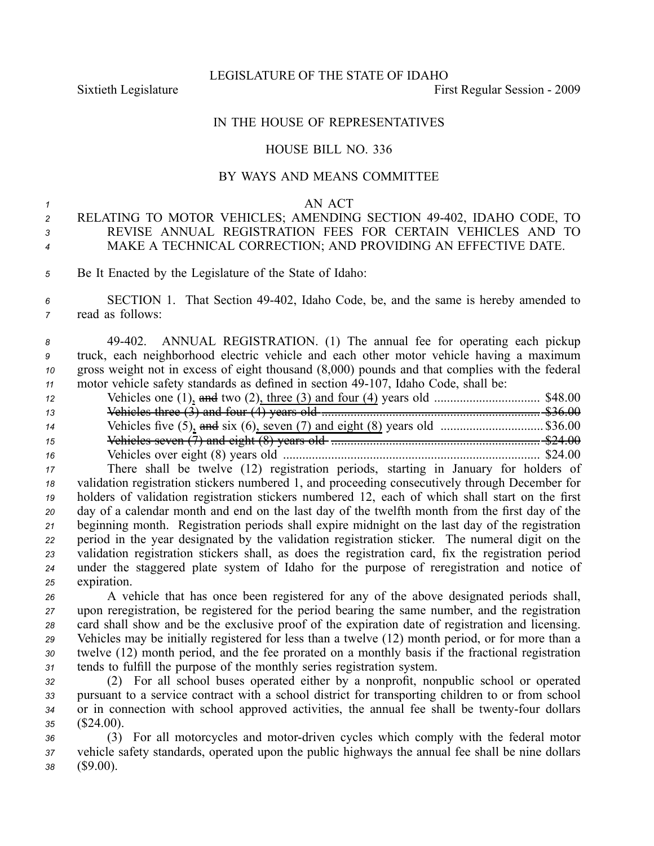LEGISLATURE OF THE STATE OF IDAHO

Sixtieth Legislature First Regular Session - 2009

## IN THE HOUSE OF REPRESENTATIVES

## HOUSE BILL NO. 336

## BY WAYS AND MEANS COMMITTEE

#### *<sup>1</sup>* AN ACT

# *<sup>2</sup>* RELATING TO MOTOR VEHICLES; AMENDING SECTION 49402, IDAHO CODE, TO *3* REVISE ANNUAL REGISTRATION FEES FOR CERTAIN VEHICLES AND TO *<sup>4</sup>* MAKE A TECHNICAL CORRECTION; AND PROVIDING AN EFFECTIVE DATE.

- *<sup>5</sup>* Be It Enacted by the Legislature of the State of Idaho:
- *<sup>6</sup>* SECTION 1. That Section 49402, Idaho Code, be, and the same is hereby amended to *<sup>7</sup>* read as follows:

 49402. ANNUAL REGISTRATION. (1) The annual fee for operating each pickup truck, each neighborhood electric vehicle and each other motor vehicle having <sup>a</sup> maximum gross weight not in excess of eight thousand (8,000) pounds and that complies with the federal motor vehicle safety standards as defined in section 49-107. Idaho Code, shall be:

| 12 |  |
|----|--|
| 13 |  |
| 14 |  |
| 15 |  |
| 16 |  |

 There shall be twelve (12) registration periods, starting in January for holders of validation registration stickers numbered 1, and proceeding consecutively through December for holders of validation registration stickers numbered 12, each of which shall start on the first day of <sup>a</sup> calendar month and end on the last day of the twelfth month from the first day of the beginning month. Registration periods shall expire midnight on the last day of the registration period in the year designated by the validation registration sticker. The numeral digit on the validation registration stickers shall, as does the registration card, fix the registration period under the staggered plate system of Idaho for the purpose of reregistration and notice of expiration.

 A vehicle that has once been registered for any of the above designated periods shall, upon reregistration, be registered for the period bearing the same number, and the registration card shall show and be the exclusive proof of the expiration date of registration and licensing. Vehicles may be initially registered for less than <sup>a</sup> twelve (12) month period, or for more than <sup>a</sup> twelve (12) month period, and the fee prorated on <sup>a</sup> monthly basis if the fractional registration tends to fulfill the purpose of the monthly series registration system.

 (2) For all school buses operated either by <sup>a</sup> nonprofit, nonpublic school or operated pursuan<sup>t</sup> to <sup>a</sup> service contract with <sup>a</sup> school district for transporting children to or from school 34 or in connection with school approved activities, the annual fee shall be twenty-four dollars (\$24.00).

*<sup>36</sup>* (3) For all motorcycles and motordriven cycles which comply with the federal motor *<sup>37</sup>* vehicle safety standards, operated upon the public highways the annual fee shall be nine dollars *<sup>38</sup>* (\$9.00).